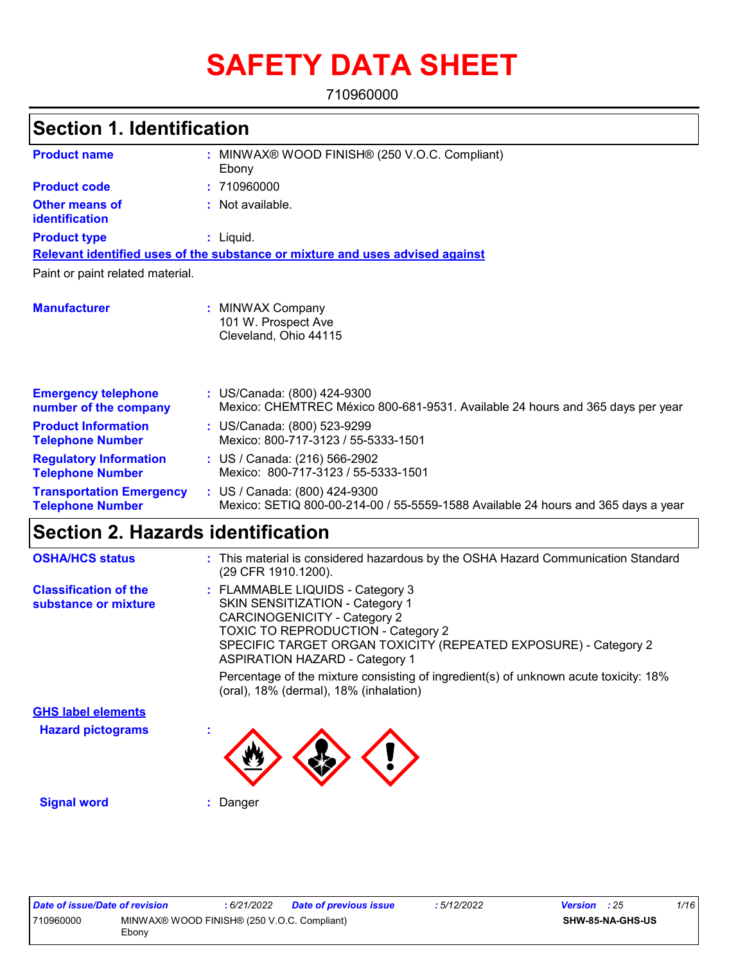# **SAFETY DATA SHEET**

710960000

| <b>Section 1. Identification</b>                           |                                                                                                                    |  |
|------------------------------------------------------------|--------------------------------------------------------------------------------------------------------------------|--|
| <b>Product name</b>                                        | : MINWAX® WOOD FINISH® (250 V.O.C. Compliant)<br>Ebony                                                             |  |
| <b>Product code</b>                                        | : 710960000                                                                                                        |  |
| <b>Other means of</b><br>identification                    | : Not available.                                                                                                   |  |
| <b>Product type</b>                                        | $:$ Liquid.                                                                                                        |  |
|                                                            | Relevant identified uses of the substance or mixture and uses advised against                                      |  |
| Paint or paint related material.                           |                                                                                                                    |  |
| <b>Manufacturer</b>                                        | : MINWAX Company<br>101 W. Prospect Ave<br>Cleveland, Ohio 44115                                                   |  |
| <b>Emergency telephone</b><br>number of the company        | : US/Canada: (800) 424-9300<br>Mexico: CHEMTREC México 800-681-9531. Available 24 hours and 365 days per year      |  |
| <b>Product Information</b><br><b>Telephone Number</b>      | : US/Canada: (800) 523-9299<br>Mexico: 800-717-3123 / 55-5333-1501                                                 |  |
| <b>Regulatory Information</b><br><b>Telephone Number</b>   | : US / Canada: (216) 566-2902<br>Mexico: 800-717-3123 / 55-5333-1501                                               |  |
| <b>Transportation Emergency</b><br><b>Telephone Number</b> | : US / Canada: (800) 424-9300<br>Mexico: SETIQ 800-00-214-00 / 55-5559-1588 Available 24 hours and 365 days a year |  |

| <b>OSHA/HCS status</b>                               | : This material is considered hazardous by the OSHA Hazard Communication Standard<br>(29 CFR 1910.1200).                                                                                                                                                                   |
|------------------------------------------------------|----------------------------------------------------------------------------------------------------------------------------------------------------------------------------------------------------------------------------------------------------------------------------|
| <b>Classification of the</b><br>substance or mixture | : FLAMMABLE LIQUIDS - Category 3<br><b>SKIN SENSITIZATION - Category 1</b><br><b>CARCINOGENICITY - Category 2</b><br><b>TOXIC TO REPRODUCTION - Category 2</b><br>SPECIFIC TARGET ORGAN TOXICITY (REPEATED EXPOSURE) - Category 2<br><b>ASPIRATION HAZARD - Category 1</b> |
|                                                      | Percentage of the mixture consisting of ingredient(s) of unknown acute toxicity: 18%<br>(oral), 18% (dermal), 18% (inhalation)                                                                                                                                             |
| <b>GHS label elements</b>                            |                                                                                                                                                                                                                                                                            |
| <b>Hazard pictograms</b>                             | ×                                                                                                                                                                                                                                                                          |
| <b>Signal word</b>                                   | Danger                                                                                                                                                                                                                                                                     |

| Date of issue/Date of revision |                                                       | : 6/21/2022 | <b>Date of previous issue</b> | : 5/12/2022 | <b>Version</b> : 25 |                         | 1/16 |
|--------------------------------|-------------------------------------------------------|-------------|-------------------------------|-------------|---------------------|-------------------------|------|
| 710960000                      | MINWAX® WOOD FINISH® (250 V.O.C. Compliant)<br>∠cbonv |             |                               |             |                     | <b>SHW-85-NA-GHS-US</b> |      |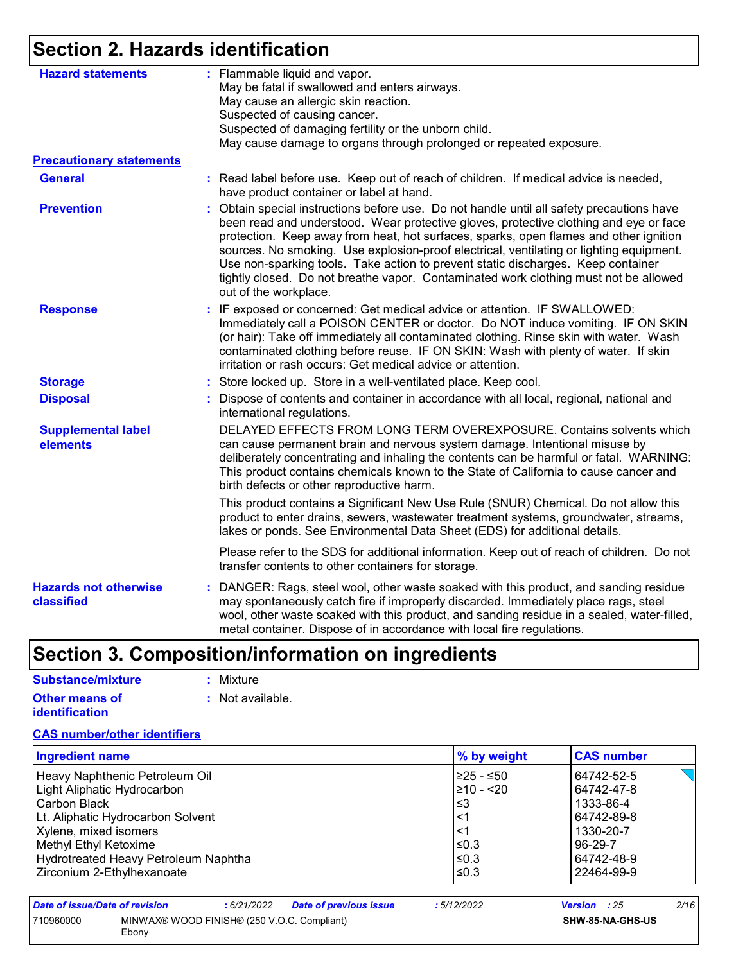## **Section 2. Hazards identification**

| <b>Hazard statements</b>                   | : Flammable liquid and vapor.<br>May be fatal if swallowed and enters airways.                                                                                                                                                                                                                                                                                                                                                                                                                                                                                                  |
|--------------------------------------------|---------------------------------------------------------------------------------------------------------------------------------------------------------------------------------------------------------------------------------------------------------------------------------------------------------------------------------------------------------------------------------------------------------------------------------------------------------------------------------------------------------------------------------------------------------------------------------|
|                                            | May cause an allergic skin reaction.                                                                                                                                                                                                                                                                                                                                                                                                                                                                                                                                            |
|                                            | Suspected of causing cancer.                                                                                                                                                                                                                                                                                                                                                                                                                                                                                                                                                    |
|                                            | Suspected of damaging fertility or the unborn child.                                                                                                                                                                                                                                                                                                                                                                                                                                                                                                                            |
|                                            | May cause damage to organs through prolonged or repeated exposure.                                                                                                                                                                                                                                                                                                                                                                                                                                                                                                              |
| <b>Precautionary statements</b>            |                                                                                                                                                                                                                                                                                                                                                                                                                                                                                                                                                                                 |
| <b>General</b>                             | : Read label before use. Keep out of reach of children. If medical advice is needed,<br>have product container or label at hand.                                                                                                                                                                                                                                                                                                                                                                                                                                                |
| <b>Prevention</b>                          | Obtain special instructions before use. Do not handle until all safety precautions have<br>÷.<br>been read and understood. Wear protective gloves, protective clothing and eye or face<br>protection. Keep away from heat, hot surfaces, sparks, open flames and other ignition<br>sources. No smoking. Use explosion-proof electrical, ventilating or lighting equipment.<br>Use non-sparking tools. Take action to prevent static discharges. Keep container<br>tightly closed. Do not breathe vapor. Contaminated work clothing must not be allowed<br>out of the workplace. |
| <b>Response</b>                            | : IF exposed or concerned: Get medical advice or attention. IF SWALLOWED:<br>Immediately call a POISON CENTER or doctor. Do NOT induce vomiting. IF ON SKIN<br>(or hair): Take off immediately all contaminated clothing. Rinse skin with water. Wash<br>contaminated clothing before reuse. IF ON SKIN: Wash with plenty of water. If skin<br>irritation or rash occurs: Get medical advice or attention.                                                                                                                                                                      |
| <b>Storage</b>                             | : Store locked up. Store in a well-ventilated place. Keep cool.                                                                                                                                                                                                                                                                                                                                                                                                                                                                                                                 |
| <b>Disposal</b>                            | : Dispose of contents and container in accordance with all local, regional, national and<br>international regulations.                                                                                                                                                                                                                                                                                                                                                                                                                                                          |
| <b>Supplemental label</b><br>elements      | DELAYED EFFECTS FROM LONG TERM OVEREXPOSURE. Contains solvents which<br>can cause permanent brain and nervous system damage. Intentional misuse by<br>deliberately concentrating and inhaling the contents can be harmful or fatal. WARNING:<br>This product contains chemicals known to the State of California to cause cancer and<br>birth defects or other reproductive harm.                                                                                                                                                                                               |
|                                            | This product contains a Significant New Use Rule (SNUR) Chemical. Do not allow this<br>product to enter drains, sewers, wastewater treatment systems, groundwater, streams,<br>lakes or ponds. See Environmental Data Sheet (EDS) for additional details.                                                                                                                                                                                                                                                                                                                       |
|                                            | Please refer to the SDS for additional information. Keep out of reach of children. Do not<br>transfer contents to other containers for storage.                                                                                                                                                                                                                                                                                                                                                                                                                                 |
| <b>Hazards not otherwise</b><br>classified | : DANGER: Rags, steel wool, other waste soaked with this product, and sanding residue<br>may spontaneously catch fire if improperly discarded. Immediately place rags, steel<br>wool, other waste soaked with this product, and sanding residue in a sealed, water-filled,<br>metal container. Dispose of in accordance with local fire regulations.                                                                                                                                                                                                                            |

## **Section 3. Composition/information on ingredients**

| Substance/mixture                       | : Mixture        |
|-----------------------------------------|------------------|
| Other means of<br><i>identification</i> | : Not available. |

#### **CAS number/other identifiers**

| <b>Ingredient name</b>               | % by weight    | <b>CAS number</b> |
|--------------------------------------|----------------|-------------------|
| Heavy Naphthenic Petroleum Oil       | I≥25 - ≤50     | 64742-52-5        |
| Light Aliphatic Hydrocarbon          | $\geq 10 - 20$ | 64742-47-8        |
| l Carbon Black                       | l≤3            | 1333-86-4         |
| Lt. Aliphatic Hydrocarbon Solvent    | ∣<1            | 64742-89-8        |
| Xylene, mixed isomers                | ∣<1            | 1330-20-7         |
| Methyl Ethyl Ketoxime                | ≤0.3           | 96-29-7           |
| Hydrotreated Heavy Petroleum Naphtha | ≤0.3           | 64742-48-9        |
| Zirconium 2-Ethylhexanoate           | l≤0.3          | 22464-99-9        |

| Date of issue/Date of revision | : 6/21/2022                                 | <b>Date of previous issue</b> | : 5/12/2022 | <b>Version</b> : 25 | 2/16 |
|--------------------------------|---------------------------------------------|-------------------------------|-------------|---------------------|------|
| 710960000<br>Ebony             | MINWAX® WOOD FINISH® (250 V.O.C. Compliant) |                               |             | SHW-85-NA-GHS-US    |      |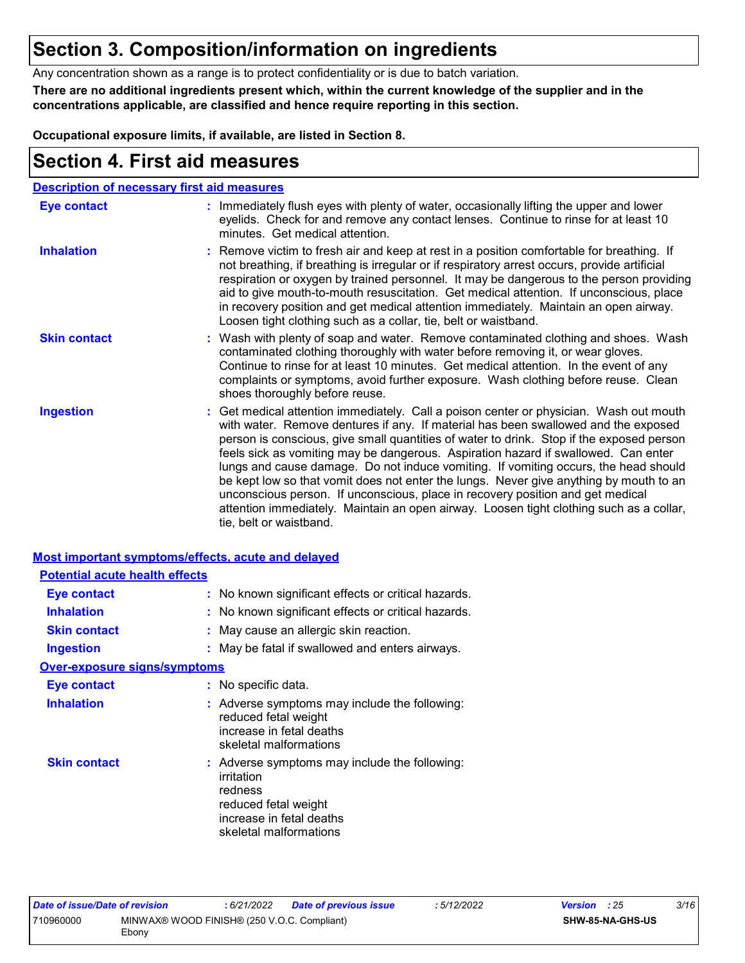### **Section 3. Composition/information on ingredients**

Any concentration shown as a range is to protect confidentiality or is due to batch variation.

**There are no additional ingredients present which, within the current knowledge of the supplier and in the concentrations applicable, are classified and hence require reporting in this section.**

**Occupational exposure limits, if available, are listed in Section 8.**

### **Section 4. First aid measures**

|                     | <b>Description of necessary first aid measures</b>                                                                                                                                                                                                                                                                                                                                                                                                                                                                                                                                                                                                                                                                                                      |
|---------------------|---------------------------------------------------------------------------------------------------------------------------------------------------------------------------------------------------------------------------------------------------------------------------------------------------------------------------------------------------------------------------------------------------------------------------------------------------------------------------------------------------------------------------------------------------------------------------------------------------------------------------------------------------------------------------------------------------------------------------------------------------------|
| <b>Eye contact</b>  | : Immediately flush eyes with plenty of water, occasionally lifting the upper and lower<br>eyelids. Check for and remove any contact lenses. Continue to rinse for at least 10<br>minutes. Get medical attention.                                                                                                                                                                                                                                                                                                                                                                                                                                                                                                                                       |
| <b>Inhalation</b>   | : Remove victim to fresh air and keep at rest in a position comfortable for breathing. If<br>not breathing, if breathing is irregular or if respiratory arrest occurs, provide artificial<br>respiration or oxygen by trained personnel. It may be dangerous to the person providing<br>aid to give mouth-to-mouth resuscitation. Get medical attention. If unconscious, place<br>in recovery position and get medical attention immediately. Maintain an open airway.<br>Loosen tight clothing such as a collar, tie, belt or waistband.                                                                                                                                                                                                               |
| <b>Skin contact</b> | : Wash with plenty of soap and water. Remove contaminated clothing and shoes. Wash<br>contaminated clothing thoroughly with water before removing it, or wear gloves.<br>Continue to rinse for at least 10 minutes. Get medical attention. In the event of any<br>complaints or symptoms, avoid further exposure. Wash clothing before reuse. Clean<br>shoes thoroughly before reuse.                                                                                                                                                                                                                                                                                                                                                                   |
| <b>Ingestion</b>    | : Get medical attention immediately. Call a poison center or physician. Wash out mouth<br>with water. Remove dentures if any. If material has been swallowed and the exposed<br>person is conscious, give small quantities of water to drink. Stop if the exposed person<br>feels sick as vomiting may be dangerous. Aspiration hazard if swallowed. Can enter<br>lungs and cause damage. Do not induce vomiting. If vomiting occurs, the head should<br>be kept low so that vomit does not enter the lungs. Never give anything by mouth to an<br>unconscious person. If unconscious, place in recovery position and get medical<br>attention immediately. Maintain an open airway. Loosen tight clothing such as a collar,<br>tie, belt or waistband. |

#### **Most important symptoms/effects, acute and delayed Potential acute health effects**

| <u>i otomaa uodto noutin onooto</u> |                                                                                                                                                      |
|-------------------------------------|------------------------------------------------------------------------------------------------------------------------------------------------------|
| <b>Eye contact</b>                  | : No known significant effects or critical hazards.                                                                                                  |
| <b>Inhalation</b>                   | : No known significant effects or critical hazards.                                                                                                  |
| <b>Skin contact</b>                 | : May cause an allergic skin reaction.                                                                                                               |
| <b>Ingestion</b>                    | : May be fatal if swallowed and enters airways.                                                                                                      |
| <b>Over-exposure signs/symptoms</b> |                                                                                                                                                      |
| <b>Eye contact</b>                  | : No specific data.                                                                                                                                  |
| <b>Inhalation</b>                   | : Adverse symptoms may include the following:<br>reduced fetal weight<br>increase in fetal deaths<br>skeletal malformations                          |
| <b>Skin contact</b>                 | : Adverse symptoms may include the following:<br>irritation<br>redness<br>reduced fetal weight<br>increase in fetal deaths<br>skeletal malformations |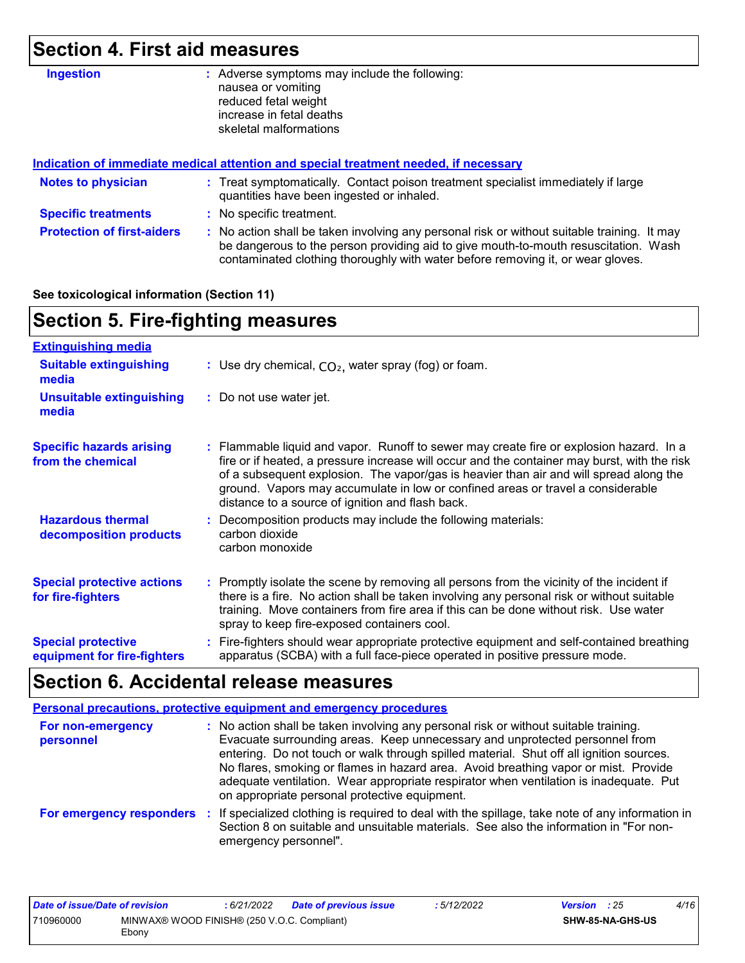## **Section 4. First aid measures**

| <b>Ingestion</b>                  | Adverse symptoms may include the following:<br>÷.<br>nausea or vomiting<br>reduced fetal weight<br>increase in fetal deaths                                                                                                                                           |
|-----------------------------------|-----------------------------------------------------------------------------------------------------------------------------------------------------------------------------------------------------------------------------------------------------------------------|
|                                   | skeletal malformations                                                                                                                                                                                                                                                |
|                                   | Indication of immediate medical attention and special treatment needed, if necessary                                                                                                                                                                                  |
| <b>Notes to physician</b>         | : Treat symptomatically. Contact poison treatment specialist immediately if large<br>quantities have been ingested or inhaled.                                                                                                                                        |
| <b>Specific treatments</b>        | : No specific treatment.                                                                                                                                                                                                                                              |
| <b>Protection of first-aiders</b> | : No action shall be taken involving any personal risk or without suitable training. It may<br>be dangerous to the person providing aid to give mouth-to-mouth resuscitation. Wash<br>contaminated clothing thoroughly with water before removing it, or wear gloves. |

#### **See toxicological information (Section 11)**

## **Section 5. Fire-fighting measures**

| <b>Extinguishing media</b>                               |                                                                                                                                                                                                                                                                                                                                                                                                                          |
|----------------------------------------------------------|--------------------------------------------------------------------------------------------------------------------------------------------------------------------------------------------------------------------------------------------------------------------------------------------------------------------------------------------------------------------------------------------------------------------------|
| <b>Suitable extinguishing</b><br>media                   | : Use dry chemical, $CO2$ , water spray (fog) or foam.                                                                                                                                                                                                                                                                                                                                                                   |
| <b>Unsuitable extinguishing</b><br>media                 | : Do not use water jet.                                                                                                                                                                                                                                                                                                                                                                                                  |
| <b>Specific hazards arising</b><br>from the chemical     | : Flammable liquid and vapor. Runoff to sewer may create fire or explosion hazard. In a<br>fire or if heated, a pressure increase will occur and the container may burst, with the risk<br>of a subsequent explosion. The vapor/gas is heavier than air and will spread along the<br>ground. Vapors may accumulate in low or confined areas or travel a considerable<br>distance to a source of ignition and flash back. |
| <b>Hazardous thermal</b><br>decomposition products       | : Decomposition products may include the following materials:<br>carbon dioxide<br>carbon monoxide                                                                                                                                                                                                                                                                                                                       |
| <b>Special protective actions</b><br>for fire-fighters   | : Promptly isolate the scene by removing all persons from the vicinity of the incident if<br>there is a fire. No action shall be taken involving any personal risk or without suitable<br>training. Move containers from fire area if this can be done without risk. Use water<br>spray to keep fire-exposed containers cool.                                                                                            |
| <b>Special protective</b><br>equipment for fire-fighters | : Fire-fighters should wear appropriate protective equipment and self-contained breathing<br>apparatus (SCBA) with a full face-piece operated in positive pressure mode.                                                                                                                                                                                                                                                 |

## **Section 6. Accidental release measures**

|                                | Personal precautions, protective equipment and emergency procedures                                                                                                                                                                                                                                                                                                                                                                                                                             |
|--------------------------------|-------------------------------------------------------------------------------------------------------------------------------------------------------------------------------------------------------------------------------------------------------------------------------------------------------------------------------------------------------------------------------------------------------------------------------------------------------------------------------------------------|
| For non-emergency<br>personnel | : No action shall be taken involving any personal risk or without suitable training.<br>Evacuate surrounding areas. Keep unnecessary and unprotected personnel from<br>entering. Do not touch or walk through spilled material. Shut off all ignition sources.<br>No flares, smoking or flames in hazard area. Avoid breathing vapor or mist. Provide<br>adequate ventilation. Wear appropriate respirator when ventilation is inadequate. Put<br>on appropriate personal protective equipment. |
|                                | For emergency responders : If specialized clothing is required to deal with the spillage, take note of any information in<br>Section 8 on suitable and unsuitable materials. See also the information in "For non-<br>emergency personnel".                                                                                                                                                                                                                                                     |

| Date of issue/Date of revision |                                                      | : 6/21/2022 | <b>Date of previous issue</b> | : 5/12/2022 | <b>Version</b> : 25 |                  | 4/16 |
|--------------------------------|------------------------------------------------------|-------------|-------------------------------|-------------|---------------------|------------------|------|
| 710960000                      | MINWAX® WOOD FINISH® (250 V.O.C. Compliant)<br>Ebony |             |                               |             |                     | SHW-85-NA-GHS-US |      |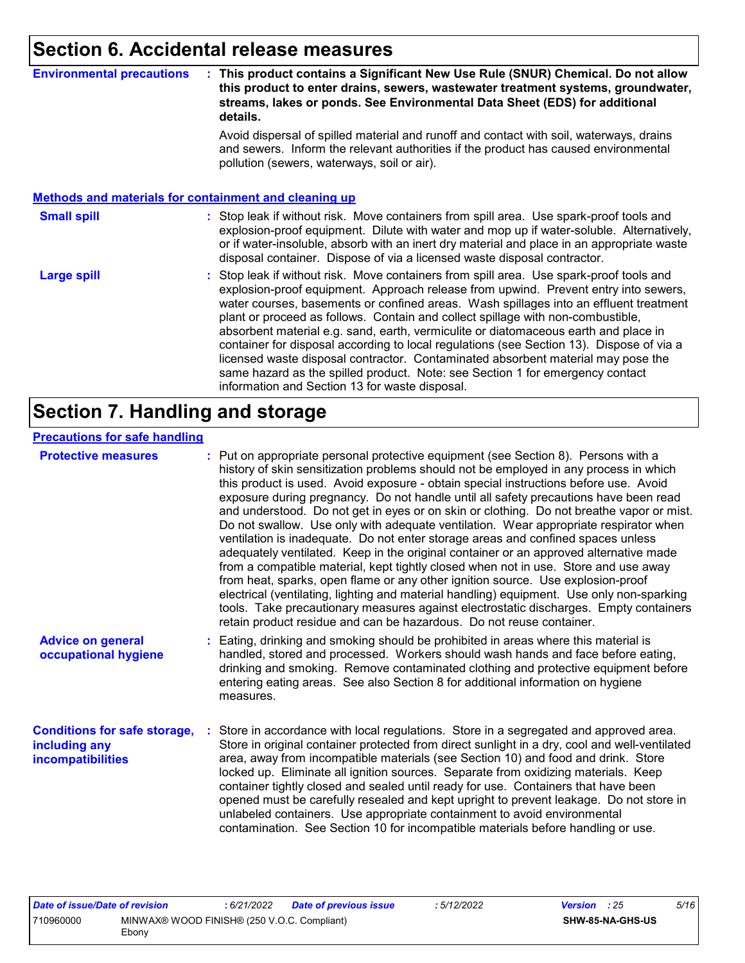### **Section 6. Accidental release measures**

#### **Environmental precautions : This product contains a Significant New Use Rule (SNUR) Chemical. Do not allow this product to enter drains, sewers, wastewater treatment systems, groundwater, streams, lakes or ponds. See Environmental Data Sheet (EDS) for additional details.**

Avoid dispersal of spilled material and runoff and contact with soil, waterways, drains and sewers. Inform the relevant authorities if the product has caused environmental pollution (sewers, waterways, soil or air).

#### **Methods and materials for containment and cleaning up**

#### : Stop leak if without risk. Move containers from spill area. Use spark-proof tools and explosion-proof equipment. Dilute with water and mop up if water-soluble. Alternatively, or if water-insoluble, absorb with an inert dry material and place in an appropriate waste disposal container. Dispose of via a licensed waste disposal contractor. **Small spill :**

Stop leak if without risk. Move containers from spill area. Use spark-proof tools and explosion-proof equipment. Approach release from upwind. Prevent entry into sewers, water courses, basements or confined areas. Wash spillages into an effluent treatment plant or proceed as follows. Contain and collect spillage with non-combustible, absorbent material e.g. sand, earth, vermiculite or diatomaceous earth and place in container for disposal according to local regulations (see Section 13). Dispose of via a licensed waste disposal contractor. Contaminated absorbent material may pose the same hazard as the spilled product. Note: see Section 1 for emergency contact information and Section 13 for waste disposal. **Large spill :**

### **Section 7. Handling and storage**

#### **Precautions for safe handling**

| <b>Protective measures</b>                                                       | : Put on appropriate personal protective equipment (see Section 8). Persons with a<br>history of skin sensitization problems should not be employed in any process in which<br>this product is used. Avoid exposure - obtain special instructions before use. Avoid<br>exposure during pregnancy. Do not handle until all safety precautions have been read<br>and understood. Do not get in eyes or on skin or clothing. Do not breathe vapor or mist.<br>Do not swallow. Use only with adequate ventilation. Wear appropriate respirator when<br>ventilation is inadequate. Do not enter storage areas and confined spaces unless<br>adequately ventilated. Keep in the original container or an approved alternative made<br>from a compatible material, kept tightly closed when not in use. Store and use away<br>from heat, sparks, open flame or any other ignition source. Use explosion-proof<br>electrical (ventilating, lighting and material handling) equipment. Use only non-sparking<br>tools. Take precautionary measures against electrostatic discharges. Empty containers<br>retain product residue and can be hazardous. Do not reuse container. |
|----------------------------------------------------------------------------------|----------------------------------------------------------------------------------------------------------------------------------------------------------------------------------------------------------------------------------------------------------------------------------------------------------------------------------------------------------------------------------------------------------------------------------------------------------------------------------------------------------------------------------------------------------------------------------------------------------------------------------------------------------------------------------------------------------------------------------------------------------------------------------------------------------------------------------------------------------------------------------------------------------------------------------------------------------------------------------------------------------------------------------------------------------------------------------------------------------------------------------------------------------------------|
| <b>Advice on general</b><br>occupational hygiene                                 | : Eating, drinking and smoking should be prohibited in areas where this material is<br>handled, stored and processed. Workers should wash hands and face before eating,<br>drinking and smoking. Remove contaminated clothing and protective equipment before<br>entering eating areas. See also Section 8 for additional information on hygiene<br>measures.                                                                                                                                                                                                                                                                                                                                                                                                                                                                                                                                                                                                                                                                                                                                                                                                        |
| <b>Conditions for safe storage,</b><br>including any<br><b>incompatibilities</b> | Store in accordance with local regulations. Store in a segregated and approved area.<br>Store in original container protected from direct sunlight in a dry, cool and well-ventilated<br>area, away from incompatible materials (see Section 10) and food and drink. Store<br>locked up. Eliminate all ignition sources. Separate from oxidizing materials. Keep<br>container tightly closed and sealed until ready for use. Containers that have been<br>opened must be carefully resealed and kept upright to prevent leakage. Do not store in<br>unlabeled containers. Use appropriate containment to avoid environmental<br>contamination. See Section 10 for incompatible materials before handling or use.                                                                                                                                                                                                                                                                                                                                                                                                                                                     |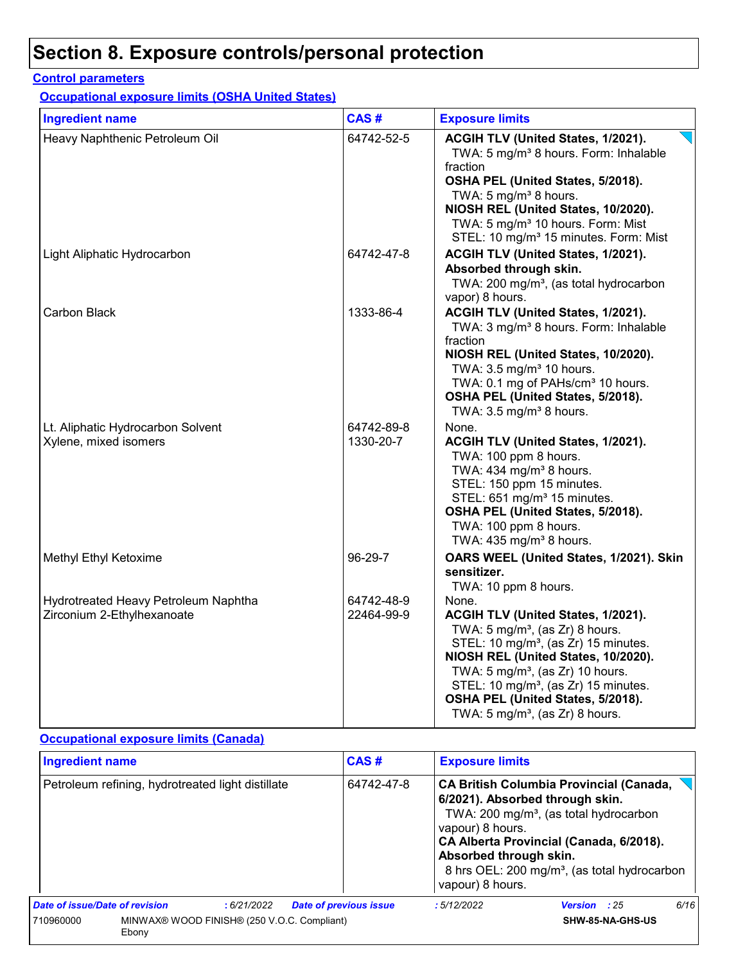#### **Control parameters**

**Occupational exposure limits (OSHA United States)**

| <b>Ingredient name</b>                                             | CAS#                     | <b>Exposure limits</b>                                                                                                                                                                                                                                                                                                                                                      |
|--------------------------------------------------------------------|--------------------------|-----------------------------------------------------------------------------------------------------------------------------------------------------------------------------------------------------------------------------------------------------------------------------------------------------------------------------------------------------------------------------|
| Heavy Naphthenic Petroleum Oil                                     | 64742-52-5               | ACGIH TLV (United States, 1/2021).<br>TWA: 5 mg/m <sup>3</sup> 8 hours. Form: Inhalable<br>fraction<br>OSHA PEL (United States, 5/2018).<br>TWA: 5 mg/m <sup>3</sup> 8 hours.<br>NIOSH REL (United States, 10/2020).<br>TWA: 5 mg/m <sup>3</sup> 10 hours. Form: Mist<br>STEL: 10 mg/m <sup>3</sup> 15 minutes. Form: Mist                                                  |
| Light Aliphatic Hydrocarbon                                        | 64742-47-8               | ACGIH TLV (United States, 1/2021).<br>Absorbed through skin.<br>TWA: 200 mg/m <sup>3</sup> , (as total hydrocarbon<br>vapor) 8 hours.                                                                                                                                                                                                                                       |
| Carbon Black                                                       | 1333-86-4                | ACGIH TLV (United States, 1/2021).<br>TWA: 3 mg/m <sup>3</sup> 8 hours. Form: Inhalable<br>fraction<br>NIOSH REL (United States, 10/2020).<br>TWA: 3.5 mg/m <sup>3</sup> 10 hours.<br>TWA: 0.1 mg of PAHs/cm <sup>3</sup> 10 hours.<br>OSHA PEL (United States, 5/2018).<br>TWA: $3.5 \text{ mg/m}^3$ 8 hours.                                                              |
| Lt. Aliphatic Hydrocarbon Solvent<br>Xylene, mixed isomers         | 64742-89-8<br>1330-20-7  | None.<br>ACGIH TLV (United States, 1/2021).<br>TWA: 100 ppm 8 hours.<br>TWA: 434 mg/m <sup>3</sup> 8 hours.<br>STEL: 150 ppm 15 minutes.<br>STEL: 651 mg/m <sup>3</sup> 15 minutes.<br>OSHA PEL (United States, 5/2018).<br>TWA: 100 ppm 8 hours.<br>TWA: 435 mg/m <sup>3</sup> 8 hours.                                                                                    |
| Methyl Ethyl Ketoxime                                              | 96-29-7                  | OARS WEEL (United States, 1/2021). Skin<br>sensitizer.<br>TWA: 10 ppm 8 hours.                                                                                                                                                                                                                                                                                              |
| Hydrotreated Heavy Petroleum Naphtha<br>Zirconium 2-Ethylhexanoate | 64742-48-9<br>22464-99-9 | None.<br>ACGIH TLV (United States, 1/2021).<br>TWA: $5 \text{ mg/m}^3$ , (as Zr) 8 hours.<br>STEL: 10 mg/m <sup>3</sup> , (as Zr) 15 minutes.<br>NIOSH REL (United States, 10/2020).<br>TWA: 5 mg/m <sup>3</sup> , (as Zr) 10 hours.<br>STEL: 10 mg/m <sup>3</sup> , (as Zr) 15 minutes.<br>OSHA PEL (United States, 5/2018).<br>TWA: $5 \text{ mg/m}^3$ , (as Zr) 8 hours. |

#### **Occupational exposure limits (Canada)**

| <b>Ingredient name</b>                                            |  |            |                               | CAS#       |                                                                | <b>Exposure limits</b>                                                                                                                                                                                                                         |      |  |  |
|-------------------------------------------------------------------|--|------------|-------------------------------|------------|----------------------------------------------------------------|------------------------------------------------------------------------------------------------------------------------------------------------------------------------------------------------------------------------------------------------|------|--|--|
| Petroleum refining, hydrotreated light distillate                 |  |            |                               | 64742-47-8 | vapour) 8 hours.<br>Absorbed through skin.<br>vapour) 8 hours. | <b>CA British Columbia Provincial (Canada,</b><br>6/2021). Absorbed through skin.<br>TWA: 200 mg/m <sup>3</sup> , (as total hydrocarbon<br>CA Alberta Provincial (Canada, 6/2018).<br>8 hrs OEL: 200 mg/m <sup>3</sup> , (as total hydrocarbon |      |  |  |
| Date of issue/Date of revision                                    |  | :6/21/2022 | <b>Date of previous issue</b> |            | :5/12/2022                                                     | Version : 25                                                                                                                                                                                                                                   | 6/16 |  |  |
| MINWAX® WOOD FINISH® (250 V.O.C. Compliant)<br>710960000<br>Ebony |  |            |                               |            | SHW-85-NA-GHS-US                                               |                                                                                                                                                                                                                                                |      |  |  |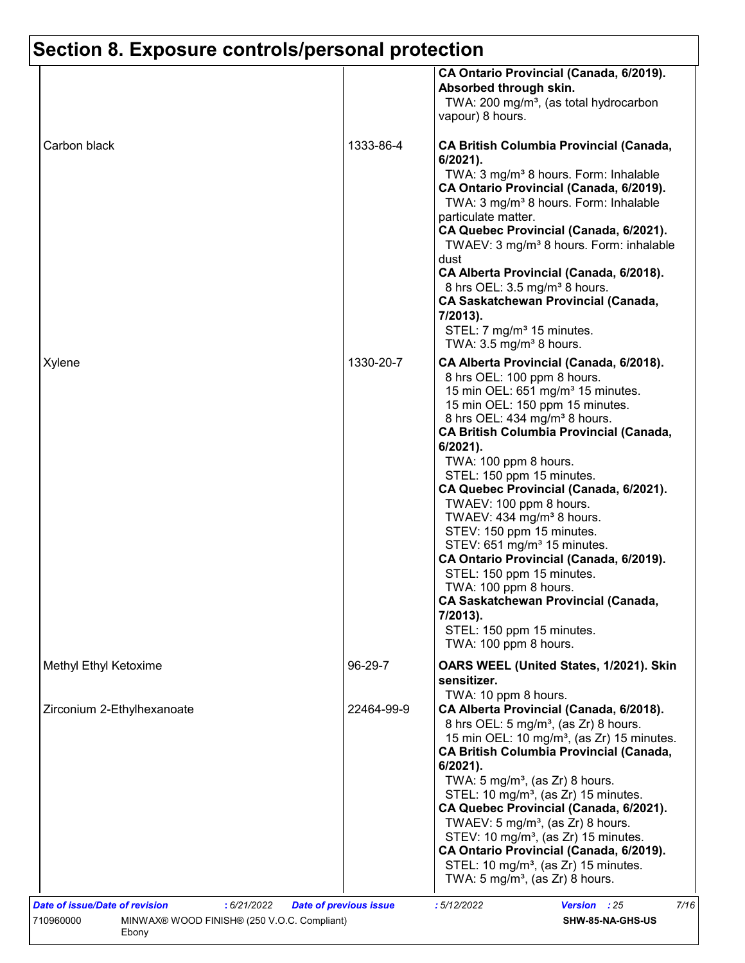|                            |            | CA Ontario Provincial (Canada, 6/2019).<br>Absorbed through skin.<br>TWA: 200 mg/m <sup>3</sup> , (as total hydrocarbon<br>vapour) 8 hours.                                                                                                                                                                                                                                                                                                                                                                                                                                                                                                                                                                                           |
|----------------------------|------------|---------------------------------------------------------------------------------------------------------------------------------------------------------------------------------------------------------------------------------------------------------------------------------------------------------------------------------------------------------------------------------------------------------------------------------------------------------------------------------------------------------------------------------------------------------------------------------------------------------------------------------------------------------------------------------------------------------------------------------------|
| Carbon black               | 1333-86-4  | <b>CA British Columbia Provincial (Canada,</b><br>$6/2021$ ).<br>TWA: 3 mg/m <sup>3</sup> 8 hours. Form: Inhalable<br>CA Ontario Provincial (Canada, 6/2019).<br>TWA: 3 mg/m <sup>3</sup> 8 hours. Form: Inhalable<br>particulate matter.<br>CA Quebec Provincial (Canada, 6/2021).<br>TWAEV: 3 mg/m <sup>3</sup> 8 hours. Form: inhalable<br>dust<br>CA Alberta Provincial (Canada, 6/2018).<br>8 hrs OEL: 3.5 mg/m <sup>3</sup> 8 hours.<br><b>CA Saskatchewan Provincial (Canada,</b>                                                                                                                                                                                                                                              |
|                            |            | 7/2013).<br>STEL: 7 mg/m <sup>3</sup> 15 minutes.<br>TWA: $3.5 \text{ mg/m}^3$ 8 hours.                                                                                                                                                                                                                                                                                                                                                                                                                                                                                                                                                                                                                                               |
| Xylene                     | 1330-20-7  | CA Alberta Provincial (Canada, 6/2018).<br>8 hrs OEL: 100 ppm 8 hours.<br>15 min OEL: 651 mg/m <sup>3</sup> 15 minutes.<br>15 min OEL: 150 ppm 15 minutes.<br>8 hrs OEL: 434 mg/m <sup>3</sup> 8 hours.<br><b>CA British Columbia Provincial (Canada,</b><br>$6/2021$ ).<br>TWA: 100 ppm 8 hours.<br>STEL: 150 ppm 15 minutes.<br>CA Quebec Provincial (Canada, 6/2021).<br>TWAEV: 100 ppm 8 hours.<br>TWAEV: 434 mg/m <sup>3</sup> 8 hours.<br>STEV: 150 ppm 15 minutes.<br>STEV: 651 mg/m <sup>3</sup> 15 minutes.<br>CA Ontario Provincial (Canada, 6/2019).<br>STEL: 150 ppm 15 minutes.<br>TWA: 100 ppm 8 hours.<br><b>CA Saskatchewan Provincial (Canada,</b><br>7/2013).<br>STEL: 150 ppm 15 minutes.<br>TWA: 100 ppm 8 hours. |
| Methyl Ethyl Ketoxime      | 96-29-7    | OARS WEEL (United States, 1/2021). Skin<br>sensitizer.                                                                                                                                                                                                                                                                                                                                                                                                                                                                                                                                                                                                                                                                                |
| Zirconium 2-Ethylhexanoate | 22464-99-9 | TWA: 10 ppm 8 hours.<br>CA Alberta Provincial (Canada, 6/2018).<br>8 hrs OEL: 5 mg/m <sup>3</sup> , (as Zr) 8 hours.<br>15 min OEL: 10 mg/m <sup>3</sup> , (as Zr) 15 minutes.<br><b>CA British Columbia Provincial (Canada,</b><br>$6/2021$ ).<br>TWA: $5 \text{ mg/m}^3$ , (as Zr) 8 hours.<br>STEL: 10 mg/m <sup>3</sup> , (as Zr) 15 minutes.<br>CA Quebec Provincial (Canada, 6/2021).<br>TWAEV: 5 mg/m <sup>3</sup> , (as Zr) 8 hours.<br>STEV: 10 mg/m <sup>3</sup> , (as Zr) 15 minutes.<br>CA Ontario Provincial (Canada, 6/2019).<br>STEL: 10 mg/m <sup>3</sup> , (as Zr) 15 minutes.<br>TWA: 5 mg/m <sup>3</sup> , (as Zr) 8 hours.                                                                                        |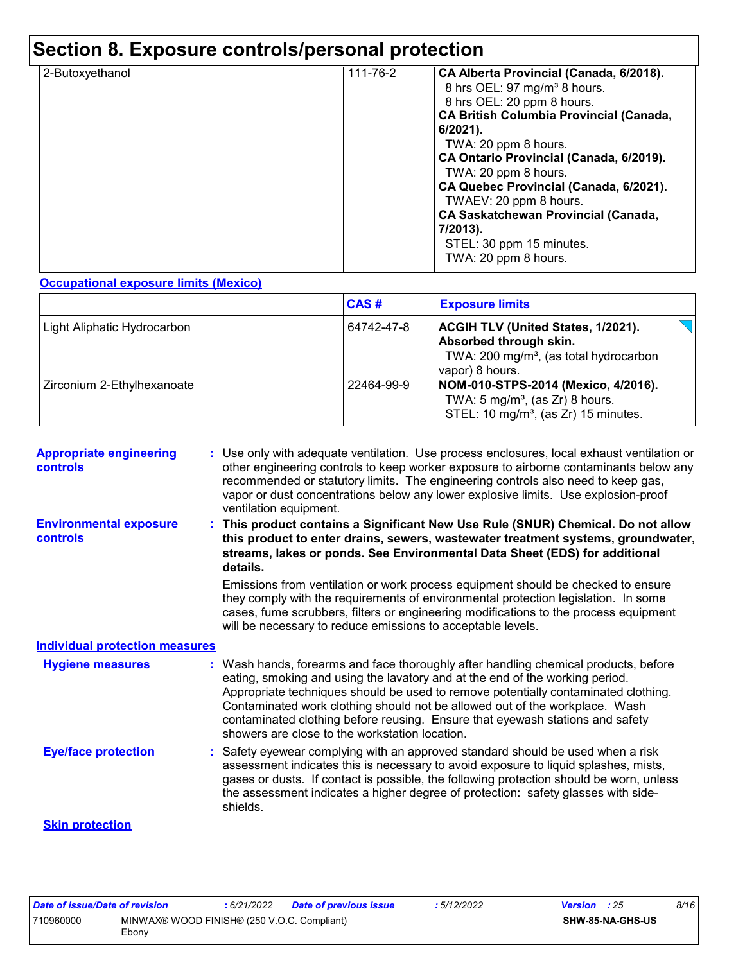| 2-Butoxyethanol | 111-76-2 | CA Alberta Provincial (Canada, 6/2018).        |
|-----------------|----------|------------------------------------------------|
|                 |          | 8 hrs OEL: 97 mg/m <sup>3</sup> 8 hours.       |
|                 |          | 8 hrs OEL: 20 ppm 8 hours.                     |
|                 |          | <b>CA British Columbia Provincial (Canada,</b> |
|                 |          | 6/2021).                                       |
|                 |          | TWA: 20 ppm 8 hours.                           |
|                 |          | CA Ontario Provincial (Canada, 6/2019).        |
|                 |          | TWA: 20 ppm 8 hours.                           |
|                 |          | CA Quebec Provincial (Canada, 6/2021).         |
|                 |          | TWAEV: 20 ppm 8 hours.                         |
|                 |          | <b>CA Saskatchewan Provincial (Canada,</b>     |
|                 |          | 7/2013).                                       |
|                 |          | STEL: 30 ppm 15 minutes.                       |
|                 |          | TWA: 20 ppm 8 hours.                           |
|                 |          |                                                |

#### **Occupational exposure limits (Mexico)**

|                                    | CAS#       | <b>Exposure limits</b>                                                                                                                       |
|------------------------------------|------------|----------------------------------------------------------------------------------------------------------------------------------------------|
| <b>Light Aliphatic Hydrocarbon</b> | 64742-47-8 | <b>ACGIH TLV (United States, 1/2021).</b><br>Absorbed through skin.<br>TWA: 200 mg/m <sup>3</sup> , (as total hydrocarbon<br>vapor) 8 hours. |
| Zirconium 2-Ethylhexanoate         | 22464-99-9 | NOM-010-STPS-2014 (Mexico, 4/2016).<br>TWA: $5 \text{ mg/m}^3$ , (as Zr) 8 hours.<br>STEL: 10 mg/m <sup>3</sup> , (as Zr) 15 minutes.        |

| <b>Appropriate engineering</b><br><b>controls</b> | Use only with adequate ventilation. Use process enclosures, local exhaust ventilation or<br>other engineering controls to keep worker exposure to airborne contaminants below any<br>recommended or statutory limits. The engineering controls also need to keep gas,<br>vapor or dust concentrations below any lower explosive limits. Use explosion-proof<br>ventilation equipment.                                                                                       |
|---------------------------------------------------|-----------------------------------------------------------------------------------------------------------------------------------------------------------------------------------------------------------------------------------------------------------------------------------------------------------------------------------------------------------------------------------------------------------------------------------------------------------------------------|
| <b>Environmental exposure</b><br><b>controls</b>  | This product contains a Significant New Use Rule (SNUR) Chemical. Do not allow<br>this product to enter drains, sewers, wastewater treatment systems, groundwater,<br>streams, lakes or ponds. See Environmental Data Sheet (EDS) for additional<br>details.                                                                                                                                                                                                                |
|                                                   | Emissions from ventilation or work process equipment should be checked to ensure<br>they comply with the requirements of environmental protection legislation. In some<br>cases, fume scrubbers, filters or engineering modifications to the process equipment<br>will be necessary to reduce emissions to acceptable levels.                                                                                                                                               |
| <b>Individual protection measures</b>             |                                                                                                                                                                                                                                                                                                                                                                                                                                                                             |
| <b>Hygiene measures</b>                           | : Wash hands, forearms and face thoroughly after handling chemical products, before<br>eating, smoking and using the lavatory and at the end of the working period.<br>Appropriate techniques should be used to remove potentially contaminated clothing.<br>Contaminated work clothing should not be allowed out of the workplace. Wash<br>contaminated clothing before reusing. Ensure that eyewash stations and safety<br>showers are close to the workstation location. |
| <b>Eye/face protection</b>                        | : Safety eyewear complying with an approved standard should be used when a risk<br>assessment indicates this is necessary to avoid exposure to liquid splashes, mists,<br>gases or dusts. If contact is possible, the following protection should be worn, unless<br>the assessment indicates a higher degree of protection: safety glasses with side-<br>shields.                                                                                                          |
| <b>Skin protection</b>                            |                                                                                                                                                                                                                                                                                                                                                                                                                                                                             |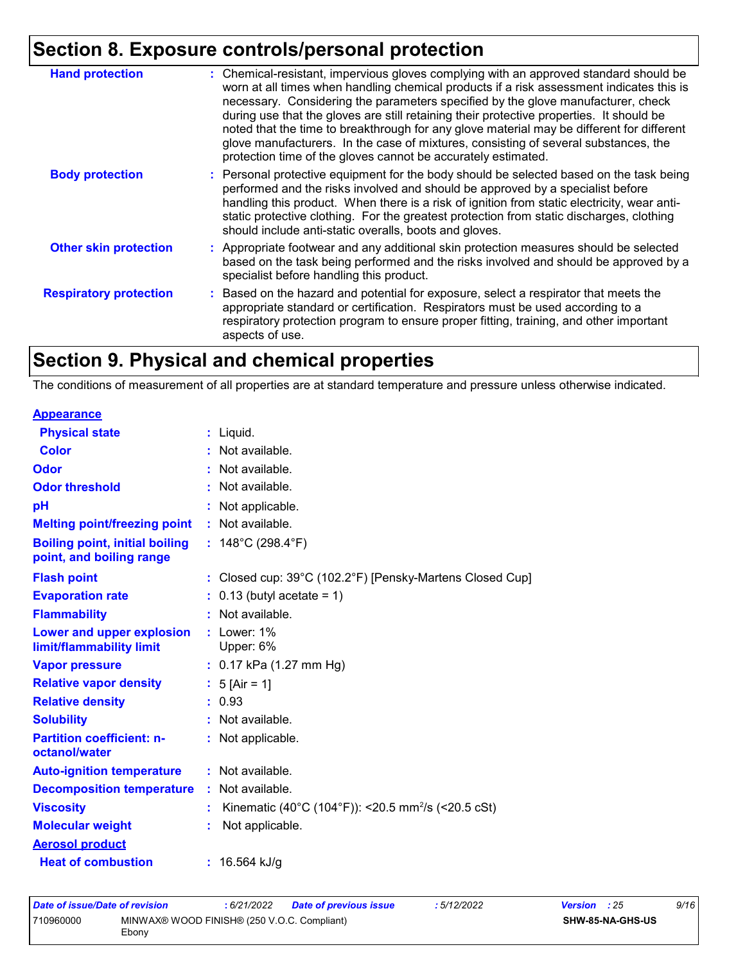| <b>Hand protection</b>        | : Chemical-resistant, impervious gloves complying with an approved standard should be<br>worn at all times when handling chemical products if a risk assessment indicates this is<br>necessary. Considering the parameters specified by the glove manufacturer, check<br>during use that the gloves are still retaining their protective properties. It should be<br>noted that the time to breakthrough for any glove material may be different for different<br>glove manufacturers. In the case of mixtures, consisting of several substances, the<br>protection time of the gloves cannot be accurately estimated. |
|-------------------------------|------------------------------------------------------------------------------------------------------------------------------------------------------------------------------------------------------------------------------------------------------------------------------------------------------------------------------------------------------------------------------------------------------------------------------------------------------------------------------------------------------------------------------------------------------------------------------------------------------------------------|
| <b>Body protection</b>        | : Personal protective equipment for the body should be selected based on the task being<br>performed and the risks involved and should be approved by a specialist before<br>handling this product. When there is a risk of ignition from static electricity, wear anti-<br>static protective clothing. For the greatest protection from static discharges, clothing<br>should include anti-static overalls, boots and gloves.                                                                                                                                                                                         |
| <b>Other skin protection</b>  | : Appropriate footwear and any additional skin protection measures should be selected<br>based on the task being performed and the risks involved and should be approved by a<br>specialist before handling this product.                                                                                                                                                                                                                                                                                                                                                                                              |
| <b>Respiratory protection</b> | : Based on the hazard and potential for exposure, select a respirator that meets the<br>appropriate standard or certification. Respirators must be used according to a<br>respiratory protection program to ensure proper fitting, training, and other important<br>aspects of use.                                                                                                                                                                                                                                                                                                                                    |

## **Section 9. Physical and chemical properties**

The conditions of measurement of all properties are at standard temperature and pressure unless otherwise indicated.

| <b>Appearance</b>                                                 |                                                                |
|-------------------------------------------------------------------|----------------------------------------------------------------|
| <b>Physical state</b>                                             | $:$ Liquid.                                                    |
| <b>Color</b>                                                      | Not available.                                                 |
| Odor                                                              | Not available.                                                 |
| <b>Odor threshold</b>                                             | Not available.                                                 |
| рH                                                                | Not applicable.                                                |
| <b>Melting point/freezing point</b>                               | : Not available.                                               |
| <b>Boiling point, initial boiling</b><br>point, and boiling range | : $148^{\circ}$ C (298.4 $^{\circ}$ F)                         |
| <b>Flash point</b>                                                | : Closed cup: 39°C (102.2°F) [Pensky-Martens Closed Cup]       |
| <b>Evaporation rate</b>                                           | $0.13$ (butyl acetate = 1)                                     |
| <b>Flammability</b>                                               | Not available.                                                 |
| Lower and upper explosion<br>limit/flammability limit             | $:$ Lower: 1%<br>Upper: 6%                                     |
| <b>Vapor pressure</b>                                             | : $0.17$ kPa (1.27 mm Hg)                                      |
| <b>Relative vapor density</b>                                     | : $5$ [Air = 1]                                                |
| <b>Relative density</b>                                           | : 0.93                                                         |
| <b>Solubility</b>                                                 | Not available.                                                 |
| <b>Partition coefficient: n-</b><br>octanol/water                 | : Not applicable.                                              |
| <b>Auto-ignition temperature</b>                                  | : Not available.                                               |
| <b>Decomposition temperature</b>                                  | : Not available.                                               |
| <b>Viscosity</b>                                                  | Kinematic (40°C (104°F)): <20.5 mm <sup>2</sup> /s (<20.5 cSt) |
| <b>Molecular weight</b>                                           | Not applicable.                                                |
| <b>Aerosol product</b>                                            |                                                                |
| <b>Heat of combustion</b>                                         | : $16.564$ kJ/g                                                |

| Date of issue/Date of revision |                                                      | : 6/21/2022 | Date of previous issue | : 5/12/2022 | <b>Version</b> : 25 |                         | 9/16 |
|--------------------------------|------------------------------------------------------|-------------|------------------------|-------------|---------------------|-------------------------|------|
| 710960000                      | MINWAX® WOOD FINISH® (250 V.O.C. Compliant)<br>Ebony |             |                        |             |                     | <b>SHW-85-NA-GHS-US</b> |      |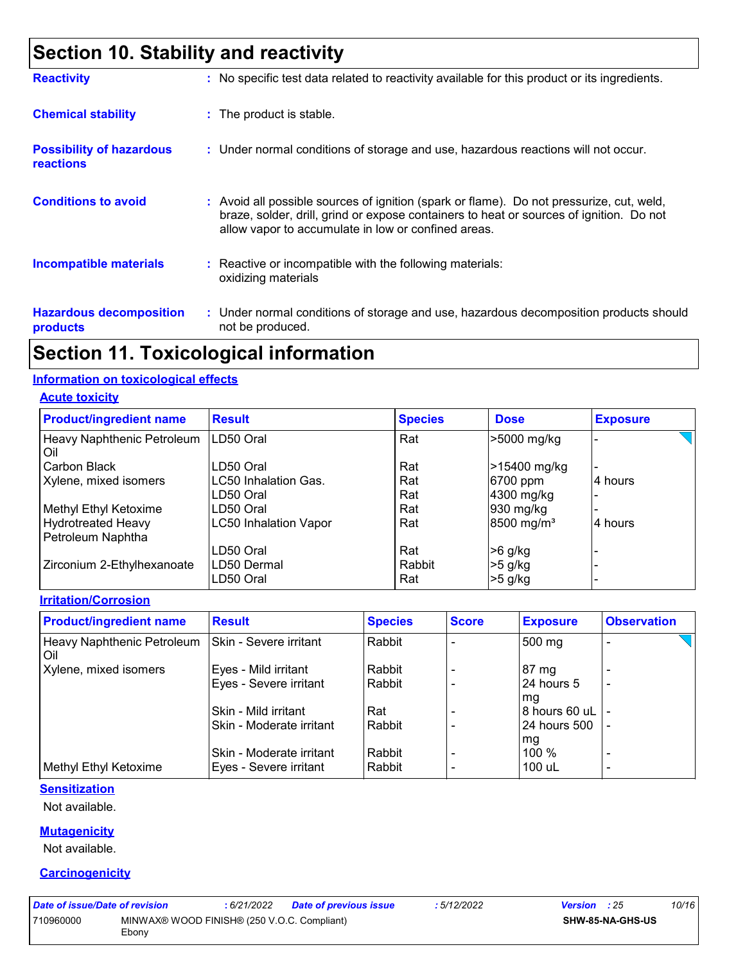## **Section 10. Stability and reactivity**

| <b>Reactivity</b>                                   | : No specific test data related to reactivity available for this product or its ingredients.                                                                                                                                               |
|-----------------------------------------------------|--------------------------------------------------------------------------------------------------------------------------------------------------------------------------------------------------------------------------------------------|
| <b>Chemical stability</b>                           | : The product is stable.                                                                                                                                                                                                                   |
| <b>Possibility of hazardous</b><br><b>reactions</b> | : Under normal conditions of storage and use, hazardous reactions will not occur.                                                                                                                                                          |
| <b>Conditions to avoid</b>                          | : Avoid all possible sources of ignition (spark or flame). Do not pressurize, cut, weld,<br>braze, solder, drill, grind or expose containers to heat or sources of ignition. Do not<br>allow vapor to accumulate in low or confined areas. |
| <b>Incompatible materials</b>                       | : Reactive or incompatible with the following materials:<br>oxidizing materials                                                                                                                                                            |
| <b>Hazardous decomposition</b><br>products          | : Under normal conditions of storage and use, hazardous decomposition products should<br>not be produced.                                                                                                                                  |

### **Section 11. Toxicological information**

#### **Information on toxicological effects**

**Acute toxicity**

| <b>Product/ingredient name</b>    | <b>Result</b>                | <b>Species</b> | <b>Dose</b>            | <b>Exposure</b> |
|-----------------------------------|------------------------------|----------------|------------------------|-----------------|
| Heavy Naphthenic Petroleum<br>Oil | LD50 Oral                    | Rat            | >5000 mg/kg            |                 |
| Carbon Black                      | LD50 Oral                    | Rat            | >15400 mg/kg           |                 |
| Xylene, mixed isomers             | LC50 Inhalation Gas.         | Rat            | 6700 ppm               | 4 hours         |
|                                   | LD50 Oral                    | Rat            | 4300 mg/kg             |                 |
| Methyl Ethyl Ketoxime             | LD50 Oral                    | Rat            | 930 mg/kg              |                 |
| <b>Hydrotreated Heavy</b>         | <b>LC50 Inhalation Vapor</b> | Rat            | 8500 mg/m <sup>3</sup> | 4 hours         |
| Petroleum Naphtha                 |                              |                |                        |                 |
|                                   | LD50 Oral                    | Rat            | $>6$ g/kg              |                 |
| Zirconium 2-Ethylhexanoate        | LD50 Dermal                  | Rabbit         | $>5$ g/kg              |                 |
|                                   | LD50 Oral                    | Rat            | $>5$ g/kg              |                 |

**Irritation/Corrosion**

| <b>Product/ingredient name</b>      | <b>Result</b>            | <b>Species</b> | <b>Score</b> | <b>Exposure</b> | <b>Observation</b>       |
|-------------------------------------|--------------------------|----------------|--------------|-----------------|--------------------------|
| Heavy Naphthenic Petroleum<br>l Oil | Skin - Severe irritant   | l Rabbit       |              | 500 mg          | $\overline{\phantom{0}}$ |
| Xylene, mixed isomers               | Eyes - Mild irritant     | Rabbit         |              | $87 \text{ mg}$ |                          |
|                                     | Eyes - Severe irritant   | l Rabbit       |              | 24 hours 5      | $\overline{\phantom{0}}$ |
|                                     |                          |                |              | mg              |                          |
|                                     | Skin - Mild irritant     | Rat            |              | 8 hours 60 uL   |                          |
|                                     | Skin - Moderate irritant | Rabbit         |              | 24 hours 500    |                          |
|                                     |                          |                |              | mg              |                          |
|                                     | Skin - Moderate irritant | l Rabbit       |              | $100 \%$        | $\overline{\phantom{0}}$ |
| Methyl Ethyl Ketoxime               | Eyes - Severe irritant   | l Rabbit       |              | 100 uL          | $\overline{\phantom{0}}$ |

#### **Sensitization**

Not available.

#### **Mutagenicity**

Not available.

#### **Carcinogenicity**

| Date of issue/Date of revision |                                                      | : 6/21/2022 | Date of previous issue | : 5/12/2022 | <b>Version</b> : 25     | 10/16 |
|--------------------------------|------------------------------------------------------|-------------|------------------------|-------------|-------------------------|-------|
| 710960000                      | MINWAX® WOOD FINISH® (250 V.O.C. Compliant)<br>Ebonv |             |                        |             | <b>SHW-85-NA-GHS-US</b> |       |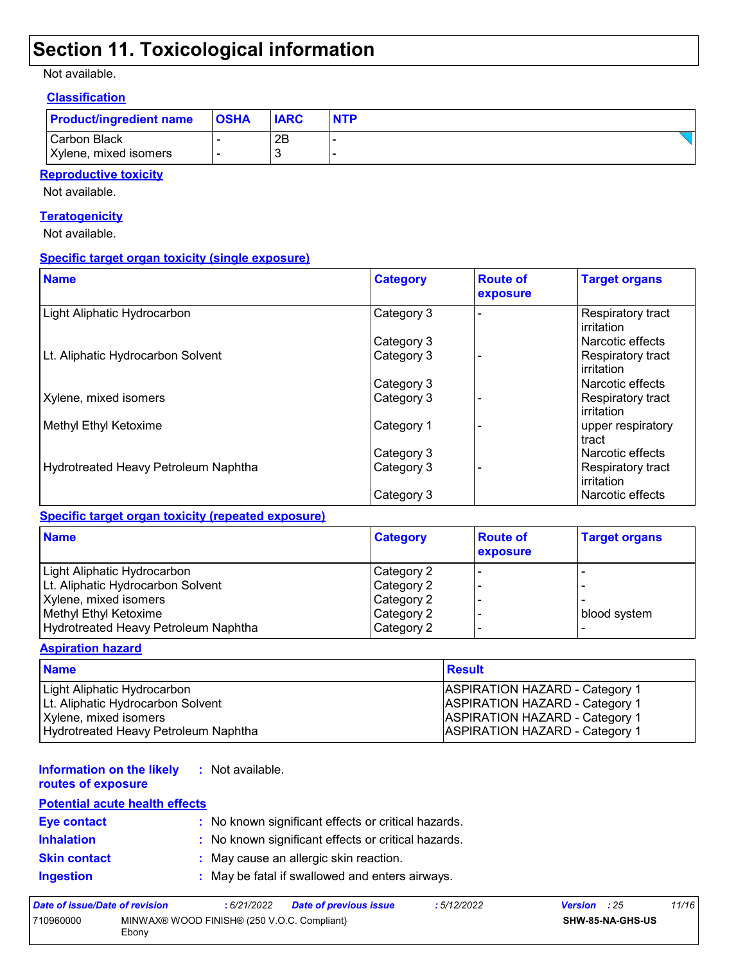### **Section 11. Toxicological information**

Not available.

#### **Classification**

| <b>Product/ingredient name</b>        | <b>OSHA</b> | <b>IARC</b> | <b>NTP</b> |
|---------------------------------------|-------------|-------------|------------|
| Carbon Black<br>Xylene, mixed isomers |             | 2B          |            |

#### **Reproductive toxicity**

Not available.

#### **Teratogenicity**

Not available.

#### **Specific target organ toxicity (single exposure)**

| <b>Name</b>                          | <b>Category</b> | <b>Route of</b><br>exposure | <b>Target organs</b>                   |
|--------------------------------------|-----------------|-----------------------------|----------------------------------------|
| Light Aliphatic Hydrocarbon          | Category 3      |                             | <b>Respiratory tract</b><br>irritation |
|                                      | Category 3      |                             | Narcotic effects                       |
| Lt. Aliphatic Hydrocarbon Solvent    | Category 3      |                             | Respiratory tract<br>irritation        |
|                                      | Category 3      |                             | Narcotic effects                       |
| Xylene, mixed isomers                | Category 3      |                             | Respiratory tract<br><b>irritation</b> |
| Methyl Ethyl Ketoxime                | Category 1      |                             | upper respiratory<br>tract             |
|                                      | Category 3      |                             | Narcotic effects                       |
| Hydrotreated Heavy Petroleum Naphtha | Category 3      |                             | Respiratory tract<br>irritation        |
|                                      | Category 3      |                             | Narcotic effects                       |

#### **Specific target organ toxicity (repeated exposure)**

| <b>Name</b>                          | <b>Category</b> | <b>Route of</b><br>exposure | <b>Target organs</b> |
|--------------------------------------|-----------------|-----------------------------|----------------------|
| Light Aliphatic Hydrocarbon          | Category 2      |                             |                      |
| Lt. Aliphatic Hydrocarbon Solvent    | Category 2      |                             |                      |
| Xylene, mixed isomers                | Category 2      |                             |                      |
| Methyl Ethyl Ketoxime                | Category 2      |                             | blood system         |
| Hydrotreated Heavy Petroleum Naphtha | Category 2      |                             |                      |

#### **Aspiration hazard**

| <b>Name</b>                          | Result                                |
|--------------------------------------|---------------------------------------|
| Light Aliphatic Hydrocarbon          | <b>ASPIRATION HAZARD - Category 1</b> |
| Lt. Aliphatic Hydrocarbon Solvent    | <b>ASPIRATION HAZARD - Category 1</b> |
| Xylene, mixed isomers                | <b>ASPIRATION HAZARD - Category 1</b> |
| Hydrotreated Heavy Petroleum Naphtha | <b>ASPIRATION HAZARD - Category 1</b> |

#### **Information on the likely :** Not available.

**routes of exposure**

#### **Potential acute health effects**

| Eye contact         | : No known significant effects or critical hazards. |
|---------------------|-----------------------------------------------------|
| <b>Inhalation</b>   | : No known significant effects or critical hazards. |
| <b>Skin contact</b> | : May cause an allergic skin reaction.              |
| <b>Ingestion</b>    | : May be fatal if swallowed and enters airways.     |

| Date of issue/Date of revision |                                                      | : 6/21/2022 | <b>Date of previous issue</b> | :5/12/2022 | <b>Version</b> : 25 | 11/16 |
|--------------------------------|------------------------------------------------------|-------------|-------------------------------|------------|---------------------|-------|
| 710960000                      | MINWAX® WOOD FINISH® (250 V.O.C. Compliant)<br>Ebony |             |                               |            | SHW-85-NA-GHS-US    |       |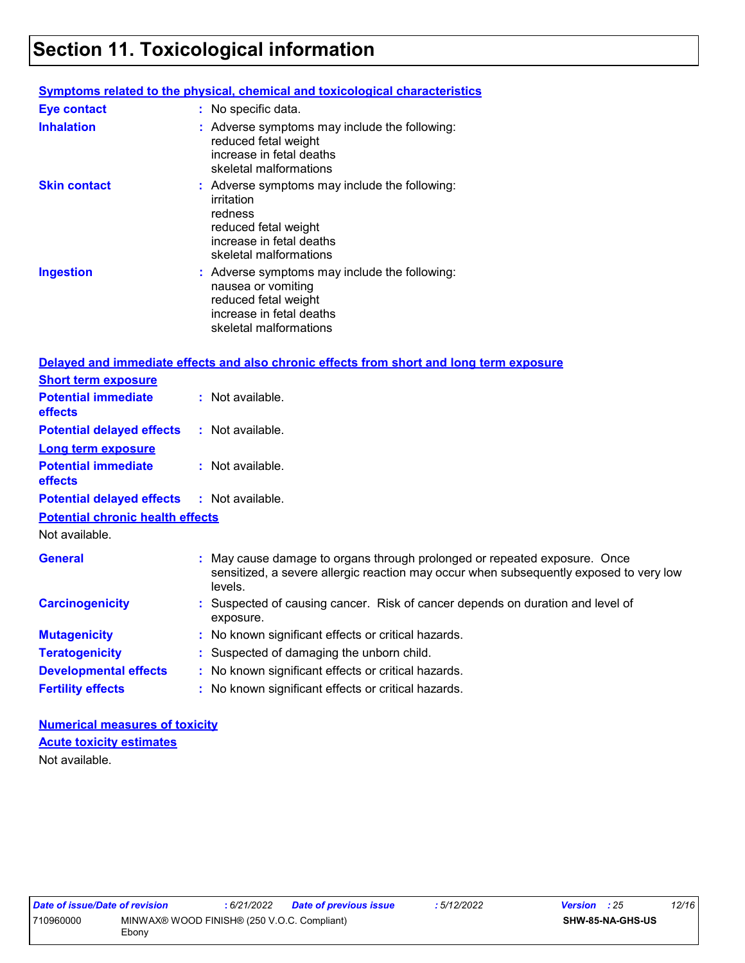## **Section 11. Toxicological information**

|                                         | <b>Symptoms related to the physical, chemical and toxicological characteristics</b>                                                                                            |
|-----------------------------------------|--------------------------------------------------------------------------------------------------------------------------------------------------------------------------------|
| <b>Eye contact</b>                      | : No specific data.                                                                                                                                                            |
| <b>Inhalation</b>                       | : Adverse symptoms may include the following:<br>reduced fetal weight<br>increase in fetal deaths<br>skeletal malformations                                                    |
| <b>Skin contact</b>                     | : Adverse symptoms may include the following:<br>irritation<br>redness<br>reduced fetal weight<br>increase in fetal deaths<br>skeletal malformations                           |
| <b>Ingestion</b>                        | : Adverse symptoms may include the following:<br>nausea or vomiting<br>reduced fetal weight<br>increase in fetal deaths<br>skeletal malformations                              |
|                                         | Delayed and immediate effects and also chronic effects from short and long term exposure                                                                                       |
| <b>Short term exposure</b>              |                                                                                                                                                                                |
| <b>Potential immediate</b><br>effects   | : Not available.                                                                                                                                                               |
| <b>Potential delayed effects</b>        | : Not available.                                                                                                                                                               |
| <b>Long term exposure</b>               |                                                                                                                                                                                |
| <b>Potential immediate</b><br>effects   | : Not available.                                                                                                                                                               |
| <b>Potential delayed effects</b>        | : Not available.                                                                                                                                                               |
| <b>Potential chronic health effects</b> |                                                                                                                                                                                |
| Not available.                          |                                                                                                                                                                                |
| <b>General</b>                          | : May cause damage to organs through prolonged or repeated exposure. Once<br>sensitized, a severe allergic reaction may occur when subsequently exposed to very low<br>levels. |
| <b>Carcinogenicity</b>                  | : Suspected of causing cancer. Risk of cancer depends on duration and level of<br>exposure.                                                                                    |
| <b>Mutagenicity</b>                     | : No known significant effects or critical hazards.                                                                                                                            |
| <b>Teratogenicity</b>                   | : Suspected of damaging the unborn child.                                                                                                                                      |
| <b>Developmental effects</b>            | : No known significant effects or critical hazards.                                                                                                                            |
| <b>Fertility effects</b>                | : No known significant effects or critical hazards.                                                                                                                            |

**Numerical measures of toxicity** Not available. **Acute toxicity estimates**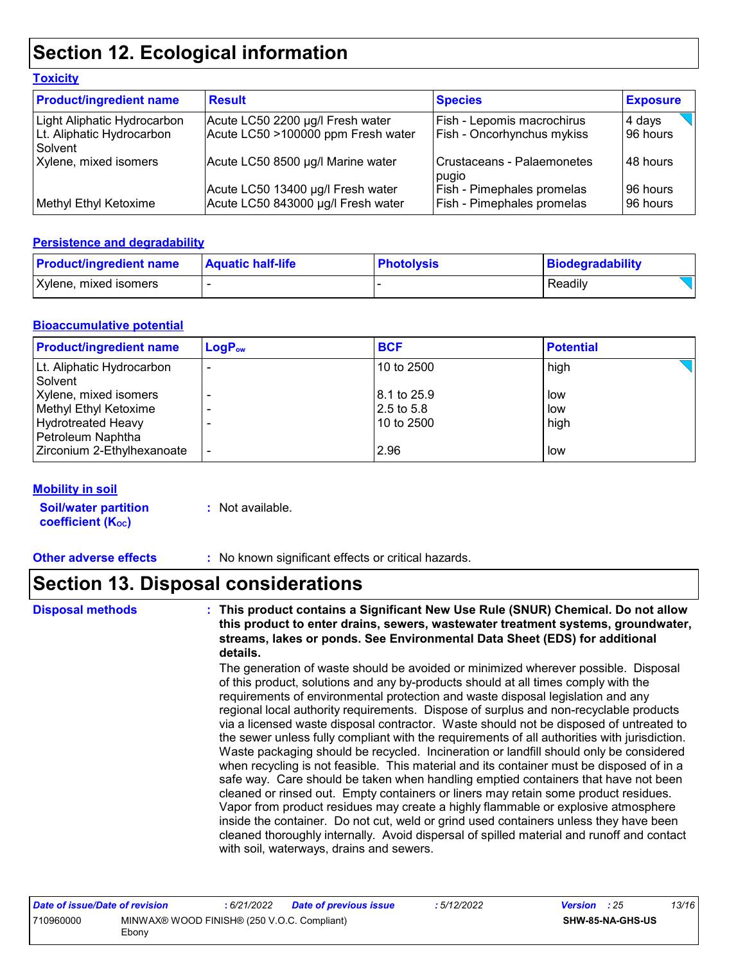### **Section 12. Ecological information**

| <b>Product/ingredient name</b>       | <b>Result</b>                                                           | <b>Species</b>                                                         | <b>Exposure</b>      |
|--------------------------------------|-------------------------------------------------------------------------|------------------------------------------------------------------------|----------------------|
| Light Aliphatic Hydrocarbon          | Acute LC50 2200 µg/l Fresh water                                        | <b>Fish - Lepomis macrochirus</b>                                      | 4 days               |
| Lt. Aliphatic Hydrocarbon<br>Solvent | Acute LC50 >100000 ppm Fresh water                                      | Fish - Oncorhynchus mykiss                                             | 96 hours             |
| Xylene, mixed isomers                | Acute LC50 8500 µg/l Marine water                                       | Crustaceans - Palaemonetes<br>pugio                                    | 48 hours             |
| Methyl Ethyl Ketoxime                | Acute LC50 13400 µg/l Fresh water<br>Acute LC50 843000 µg/l Fresh water | <b>Fish - Pimephales promelas</b><br><b>Fish - Pimephales promelas</b> | 96 hours<br>96 hours |

#### **Persistence and degradability**

**Toxicity**

| <b>Product/ingredient name</b> | <b>Aquatic half-life</b> | <b>Photolysis</b> | Biodegradability |
|--------------------------------|--------------------------|-------------------|------------------|
| Xylene, mixed isomers          |                          |                   | Readily          |

#### **Bioaccumulative potential**

| <b>Product/ingredient name</b>                                                                   | $LogP_{ow}$ | <b>BCF</b>                              | <b>Potential</b>   |
|--------------------------------------------------------------------------------------------------|-------------|-----------------------------------------|--------------------|
| Lt. Aliphatic Hydrocarbon<br>Solvent                                                             | -           | 10 to 2500                              | high               |
| Xylene, mixed isomers<br>Methyl Ethyl Ketoxime<br><b>Hydrotreated Heavy</b><br>Petroleum Naphtha |             | 8.1 to 25.9<br>2.5 to 5.8<br>10 to 2500 | low<br>low<br>high |
| Zirconium 2-Ethylhexanoate                                                                       |             | 2.96                                    | low                |

#### **Mobility in soil**

| <b>Soil/water partition</b> | : Not available. |
|-----------------------------|------------------|
| <b>coefficient (Koc)</b>    |                  |

**Other adverse effects** : No known significant effects or critical hazards.

### **Section 13. Disposal considerations**

**Disposal methods : This product contains a Significant New Use Rule (SNUR) Chemical. Do not allow this product to enter drains, sewers, wastewater treatment systems, groundwater, streams, lakes or ponds. See Environmental Data Sheet (EDS) for additional details.**

> The generation of waste should be avoided or minimized wherever possible. Disposal of this product, solutions and any by-products should at all times comply with the requirements of environmental protection and waste disposal legislation and any regional local authority requirements. Dispose of surplus and non-recyclable products via a licensed waste disposal contractor. Waste should not be disposed of untreated to the sewer unless fully compliant with the requirements of all authorities with jurisdiction. Waste packaging should be recycled. Incineration or landfill should only be considered when recycling is not feasible. This material and its container must be disposed of in a safe way. Care should be taken when handling emptied containers that have not been cleaned or rinsed out. Empty containers or liners may retain some product residues. Vapor from product residues may create a highly flammable or explosive atmosphere inside the container. Do not cut, weld or grind used containers unless they have been cleaned thoroughly internally. Avoid dispersal of spilled material and runoff and contact with soil, waterways, drains and sewers.

| Date of issue/Date of revision |                                                      | : 6/21/2022 | <b>Date of previous issue</b> | : 5/12/2022 | <b>Version</b> : 25 |                         | 13/16 |
|--------------------------------|------------------------------------------------------|-------------|-------------------------------|-------------|---------------------|-------------------------|-------|
| 710960000                      | MINWAX® WOOD FINISH® (250 V.O.C. Compliant)<br>Ebonv |             |                               |             |                     | <b>SHW-85-NA-GHS-US</b> |       |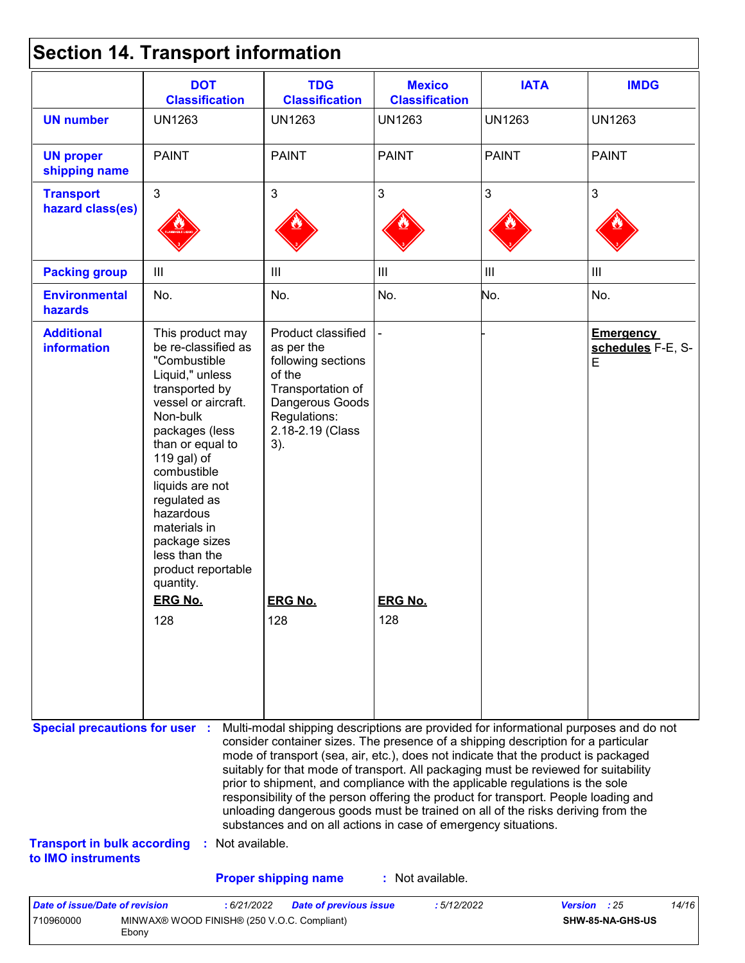|  |  | <b>Section 14. Transport information</b> |  |
|--|--|------------------------------------------|--|
|--|--|------------------------------------------|--|

| <b>UN1263</b><br><b>PAINT</b><br>$\mathbf{3}$<br>$\mathop{\rm III}$<br>No.<br>This product may<br>be re-classified as<br>"Combustible<br>Liquid," unless<br>transported by                                                               | <b>UN1263</b><br><b>PAINT</b><br>3<br>Ш<br>No.<br>Product classified<br>as per the<br>following sections | <b>UN1263</b><br><b>PAINT</b><br>3<br>$\ensuremath{\mathsf{III}}\xspace$<br>No. | <b>UN1263</b><br><b>PAINT</b><br>3<br>$\mathop{\rm III}$<br>No. | <b>UN1263</b><br><b>PAINT</b><br>3<br>$\ensuremath{\mathsf{III}}\xspace$<br>No.                                                                                                                                                                                                                                                                                                                                                                                                                                                                                                                                                                                                                                                                    |
|------------------------------------------------------------------------------------------------------------------------------------------------------------------------------------------------------------------------------------------|----------------------------------------------------------------------------------------------------------|---------------------------------------------------------------------------------|-----------------------------------------------------------------|----------------------------------------------------------------------------------------------------------------------------------------------------------------------------------------------------------------------------------------------------------------------------------------------------------------------------------------------------------------------------------------------------------------------------------------------------------------------------------------------------------------------------------------------------------------------------------------------------------------------------------------------------------------------------------------------------------------------------------------------------|
|                                                                                                                                                                                                                                          |                                                                                                          |                                                                                 |                                                                 |                                                                                                                                                                                                                                                                                                                                                                                                                                                                                                                                                                                                                                                                                                                                                    |
|                                                                                                                                                                                                                                          |                                                                                                          |                                                                                 |                                                                 |                                                                                                                                                                                                                                                                                                                                                                                                                                                                                                                                                                                                                                                                                                                                                    |
|                                                                                                                                                                                                                                          |                                                                                                          |                                                                                 |                                                                 |                                                                                                                                                                                                                                                                                                                                                                                                                                                                                                                                                                                                                                                                                                                                                    |
|                                                                                                                                                                                                                                          |                                                                                                          |                                                                                 |                                                                 |                                                                                                                                                                                                                                                                                                                                                                                                                                                                                                                                                                                                                                                                                                                                                    |
|                                                                                                                                                                                                                                          |                                                                                                          |                                                                                 |                                                                 |                                                                                                                                                                                                                                                                                                                                                                                                                                                                                                                                                                                                                                                                                                                                                    |
| vessel or aircraft.<br>Non-bulk<br>packages (less<br>than or equal to<br>119 gal) of<br>combustible<br>liquids are not<br>regulated as<br>hazardous<br>materials in<br>package sizes<br>less than the<br>product reportable<br>quantity. | of the<br>Transportation of<br>Dangerous Goods<br>Regulations:<br>2.18-2.19 (Class<br>3).                |                                                                                 |                                                                 | <b>Emergency</b><br>schedules F-E, S-<br>E                                                                                                                                                                                                                                                                                                                                                                                                                                                                                                                                                                                                                                                                                                         |
| <b>ERG No.</b>                                                                                                                                                                                                                           | <b>ERG No.</b>                                                                                           | <b>ERG No.</b>                                                                  |                                                                 |                                                                                                                                                                                                                                                                                                                                                                                                                                                                                                                                                                                                                                                                                                                                                    |
| 128                                                                                                                                                                                                                                      | 128                                                                                                      | 128                                                                             |                                                                 |                                                                                                                                                                                                                                                                                                                                                                                                                                                                                                                                                                                                                                                                                                                                                    |
| <b>Special precautions for user :</b><br><b>Transport in bulk according</b>                                                                                                                                                              |                                                                                                          |                                                                                 |                                                                 |                                                                                                                                                                                                                                                                                                                                                                                                                                                                                                                                                                                                                                                                                                                                                    |
|                                                                                                                                                                                                                                          | Date of issue/Date of revision                                                                           | : Not available.<br><b>Proper shipping name</b><br>:6/21/2022                   | : Not available.                                                | Multi-modal shipping descriptions are provided for informational purposes and do not<br>consider container sizes. The presence of a shipping description for a particular<br>mode of transport (sea, air, etc.), does not indicate that the product is packaged<br>suitably for that mode of transport. All packaging must be reviewed for suitability<br>prior to shipment, and compliance with the applicable regulations is the sole<br>responsibility of the person offering the product for transport. People loading and<br>unloading dangerous goods must be trained on all of the risks deriving from the<br>substances and on all actions in case of emergency situations.<br>Version : 25<br>:5/12/2022<br><b>Date of previous issue</b> |

| Date of issue/Date of revision |                                                      | 6/21/2022 | <b>Date of previous issue</b> | : 5/12/2022 | <b>Version</b> : 25 | 14/16 |
|--------------------------------|------------------------------------------------------|-----------|-------------------------------|-------------|---------------------|-------|
| 710960000                      | MINWAX® WOOD FINISH® (250 V.O.C. Compliant)<br>Ebonv |           |                               |             | SHW-85-NA-GHS-US    |       |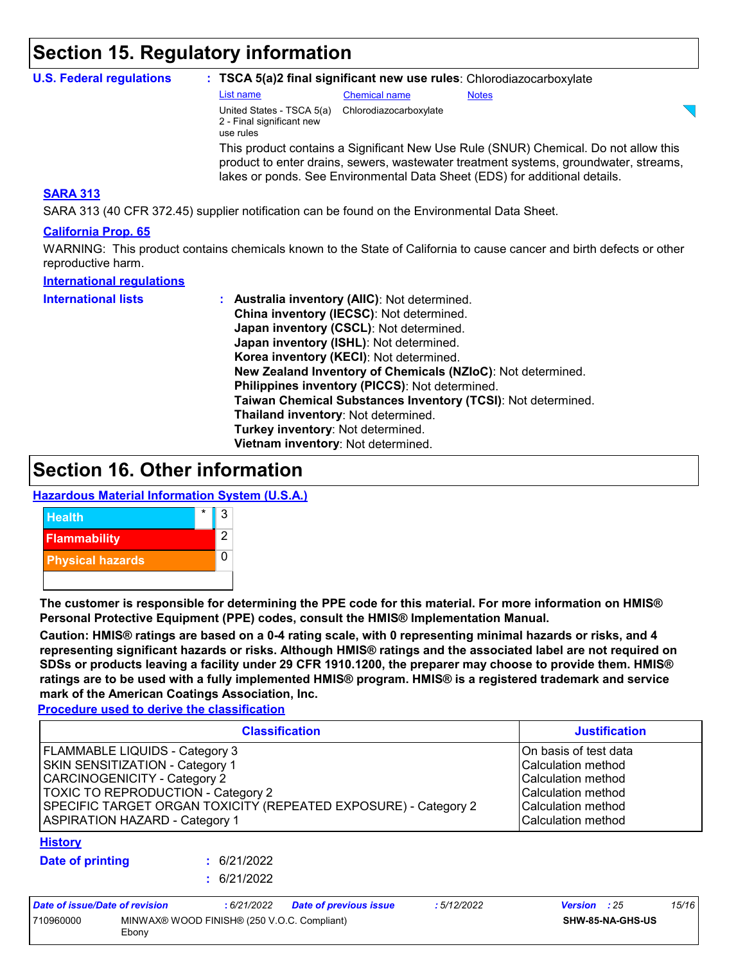### **Section 15. Regulatory information**

| <b>U.S. Federal regulations</b>                                                              |                                                                     |                        | : TSCA 5(a)2 final significant new use rules: Chlorodiazocarboxylate                                                                                                                                                                                       |
|----------------------------------------------------------------------------------------------|---------------------------------------------------------------------|------------------------|------------------------------------------------------------------------------------------------------------------------------------------------------------------------------------------------------------------------------------------------------------|
|                                                                                              | List name                                                           | <b>Chemical name</b>   | <b>Notes</b>                                                                                                                                                                                                                                               |
|                                                                                              | United States - TSCA 5(a)<br>2 - Final significant new<br>use rules | Chlorodiazocarboxylate |                                                                                                                                                                                                                                                            |
|                                                                                              |                                                                     |                        | This product contains a Significant New Use Rule (SNUR) Chemical. Do not allow this<br>product to enter drains, sewers, was tewater treatment systems, groundwater, streams,<br>lakes or ponds. See Environmental Data Sheet (EDS) for additional details. |
| <b>SARA 313</b>                                                                              |                                                                     |                        |                                                                                                                                                                                                                                                            |
| SARA 313 (40 CFR 372.45) supplier notification can be found on the Environmental Data Sheet. |                                                                     |                        |                                                                                                                                                                                                                                                            |

#### **California Prop. 65**

WARNING: This product contains chemicals known to the State of California to cause cancer and birth defects or other reproductive harm.

| <b>International regulations</b> |                                                              |
|----------------------------------|--------------------------------------------------------------|
| <b>International lists</b>       | : Australia inventory (AIIC): Not determined.                |
|                                  | China inventory (IECSC): Not determined.                     |
|                                  | Japan inventory (CSCL): Not determined.                      |
|                                  | Japan inventory (ISHL): Not determined.                      |
|                                  | Korea inventory (KECI): Not determined.                      |
|                                  | New Zealand Inventory of Chemicals (NZIoC): Not determined.  |
|                                  | Philippines inventory (PICCS): Not determined.               |
|                                  | Taiwan Chemical Substances Inventory (TCSI): Not determined. |
|                                  | Thailand inventory: Not determined.                          |
|                                  | Turkey inventory: Not determined.                            |
|                                  | Vietnam inventory: Not determined.                           |

### **Section 16. Other information**

#### **Hazardous Material Information System (U.S.A.)**



**The customer is responsible for determining the PPE code for this material. For more information on HMIS® Personal Protective Equipment (PPE) codes, consult the HMIS® Implementation Manual.**

**Caution: HMIS® ratings are based on a 0-4 rating scale, with 0 representing minimal hazards or risks, and 4 representing significant hazards or risks. Although HMIS® ratings and the associated label are not required on SDSs or products leaving a facility under 29 CFR 1910.1200, the preparer may choose to provide them. HMIS® ratings are to be used with a fully implemented HMIS® program. HMIS® is a registered trademark and service mark of the American Coatings Association, Inc.**

**Procedure used to derive the classification**

|                                                                                                                                                                                                                                                                   | <b>Justification</b>                                                                                                                |                               |            |                     |       |
|-------------------------------------------------------------------------------------------------------------------------------------------------------------------------------------------------------------------------------------------------------------------|-------------------------------------------------------------------------------------------------------------------------------------|-------------------------------|------------|---------------------|-------|
| FLAMMABLE LIQUIDS - Category 3<br>SKIN SENSITIZATION - Category 1<br><b>CARCINOGENICITY - Category 2</b><br><b>TOXIC TO REPRODUCTION - Category 2</b><br>SPECIFIC TARGET ORGAN TOXICITY (REPEATED EXPOSURE) - Category 2<br><b>ASPIRATION HAZARD - Category 1</b> | On basis of test data<br>Calculation method<br>Calculation method<br>Calculation method<br>Calculation method<br>Calculation method |                               |            |                     |       |
| <b>History</b><br><b>Date of printing</b>                                                                                                                                                                                                                         | : 6/21/2022<br>: 6/21/2022                                                                                                          |                               |            |                     |       |
| Date of issue/Date of revision                                                                                                                                                                                                                                    | :6/21/2022                                                                                                                          | <b>Date of previous issue</b> | :5/12/2022 | <b>Version</b> : 25 | 15/16 |

| <u>Palo VI IOUMU/PALO VI I VI IOIUI </u> |                                             | . | <u>salo oi protiouo ioouo</u> | . <i>.</i> |                         | $\cdot$ |
|------------------------------------------|---------------------------------------------|---|-------------------------------|------------|-------------------------|---------|
| 710960000                                | MINWAX® WOOD FINISH® (250 V.O.C. Compliant) |   |                               |            | <b>SHW-85-NA-GHS-US</b> |         |
|                                          | Ebony                                       |   |                               |            |                         |         |